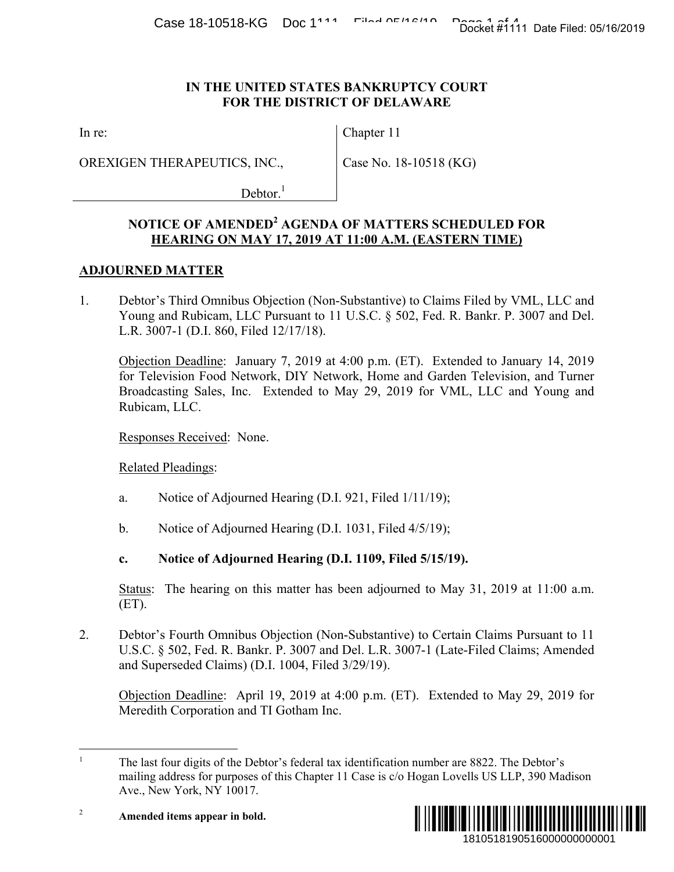#### **IN THE UNITED STATES BANKRUPTCY COURT FOR THE DISTRICT OF DELAWARE**

In re:

OREXIGEN THERAPEUTICS, INC.,

Chapter 11

Case No. 18-10518 (KG)

 $Dektor.<sup>1</sup>$ 

# **NOTICE OF AMENDED<sup>2</sup> AGENDA OF MATTERS SCHEDULED FOR HEARING ON MAY 17, 2019 AT 11:00 A.M. (EASTERN TIME)**

## **ADJOURNED MATTER**

1. Debtor's Third Omnibus Objection (Non-Substantive) to Claims Filed by VML, LLC and Young and Rubicam, LLC Pursuant to 11 U.S.C. § 502, Fed. R. Bankr. P. 3007 and Del. L.R. 3007-1 (D.I. 860, Filed 12/17/18).

Objection Deadline: January 7, 2019 at 4:00 p.m. (ET). Extended to January 14, 2019 for Television Food Network, DIY Network, Home and Garden Television, and Turner Broadcasting Sales, Inc. Extended to May 29, 2019 for VML, LLC and Young and Rubicam, LLC. 1810518190516000000000001 Docket #1111 Date Filed: 05/16/2019

Responses Received: None.

Related Pleadings:

- a. Notice of Adjourned Hearing (D.I. 921, Filed 1/11/19);
- b. Notice of Adjourned Hearing (D.I. 1031, Filed 4/5/19);

## **c. Notice of Adjourned Hearing (D.I. 1109, Filed 5/15/19).**

Status: The hearing on this matter has been adjourned to May 31, 2019 at 11:00 a.m. (ET).

2. Debtor's Fourth Omnibus Objection (Non-Substantive) to Certain Claims Pursuant to 11 U.S.C. § 502, Fed. R. Bankr. P. 3007 and Del. L.R. 3007-1 (Late-Filed Claims; Amended and Superseded Claims) (D.I. 1004, Filed 3/29/19).

Objection Deadline: April 19, 2019 at 4:00 p.m. (ET). Extended to May 29, 2019 for Meredith Corporation and TI Gotham Inc.

 $\overline{a}$ <sup>1</sup> The last four digits of the Debtor's federal tax identification number are 8822. The Debtor's mailing address for purposes of this Chapter 11 Case is c/o Hogan Lovells US LLP, 390 Madison Ave., New York, NY 10017.



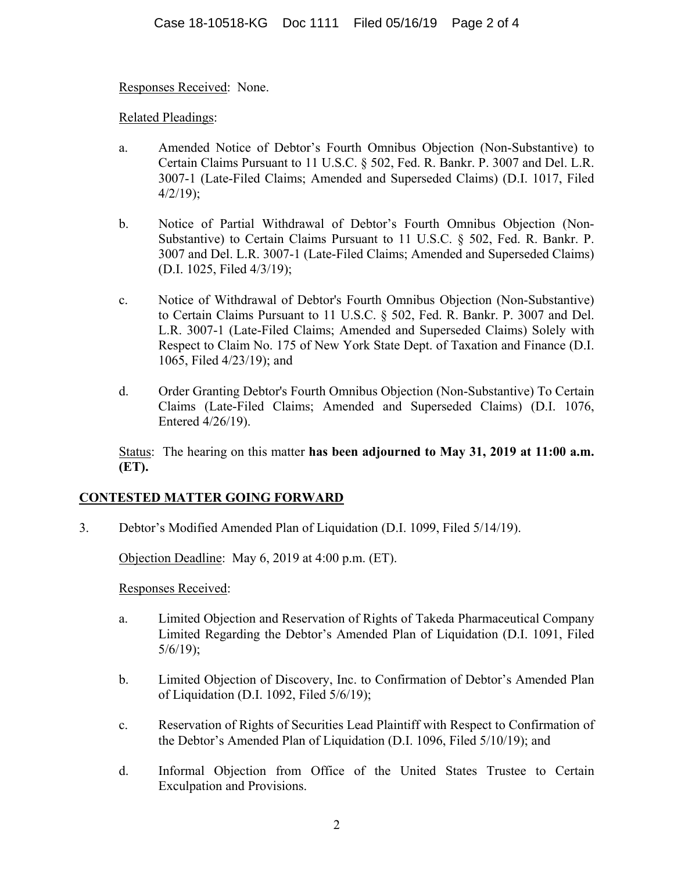Responses Received: None.

Related Pleadings:

- a. Amended Notice of Debtor's Fourth Omnibus Objection (Non-Substantive) to Certain Claims Pursuant to 11 U.S.C. § 502, Fed. R. Bankr. P. 3007 and Del. L.R. 3007-1 (Late-Filed Claims; Amended and Superseded Claims) (D.I. 1017, Filed  $4/2/19$ ;
- b. Notice of Partial Withdrawal of Debtor's Fourth Omnibus Objection (Non-Substantive) to Certain Claims Pursuant to 11 U.S.C. § 502, Fed. R. Bankr. P. 3007 and Del. L.R. 3007-1 (Late-Filed Claims; Amended and Superseded Claims) (D.I. 1025, Filed 4/3/19);
- c. Notice of Withdrawal of Debtor's Fourth Omnibus Objection (Non-Substantive) to Certain Claims Pursuant to 11 U.S.C. § 502, Fed. R. Bankr. P. 3007 and Del. L.R. 3007-1 (Late-Filed Claims; Amended and Superseded Claims) Solely with Respect to Claim No. 175 of New York State Dept. of Taxation and Finance (D.I. 1065, Filed 4/23/19); and
- d. Order Granting Debtor's Fourth Omnibus Objection (Non-Substantive) To Certain Claims (Late-Filed Claims; Amended and Superseded Claims) (D.I. 1076, Entered 4/26/19).

Status: The hearing on this matter **has been adjourned to May 31, 2019 at 11:00 a.m. (ET).** 

## **CONTESTED MATTER GOING FORWARD**

3. Debtor's Modified Amended Plan of Liquidation (D.I. 1099, Filed 5/14/19).

Objection Deadline: May 6, 2019 at 4:00 p.m. (ET).

Responses Received:

- a. Limited Objection and Reservation of Rights of Takeda Pharmaceutical Company Limited Regarding the Debtor's Amended Plan of Liquidation (D.I. 1091, Filed 5/6/19);
- b. Limited Objection of Discovery, Inc. to Confirmation of Debtor's Amended Plan of Liquidation (D.I. 1092, Filed 5/6/19);
- c. Reservation of Rights of Securities Lead Plaintiff with Respect to Confirmation of the Debtor's Amended Plan of Liquidation (D.I. 1096, Filed 5/10/19); and
- d. Informal Objection from Office of the United States Trustee to Certain Exculpation and Provisions.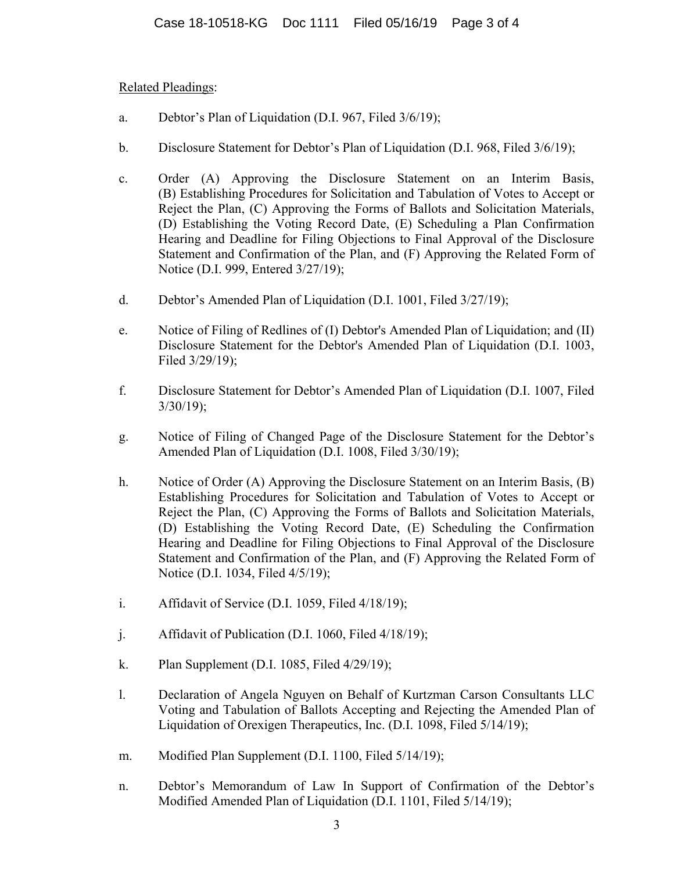Related Pleadings:

- a. Debtor's Plan of Liquidation (D.I. 967, Filed 3/6/19);
- b. Disclosure Statement for Debtor's Plan of Liquidation (D.I. 968, Filed 3/6/19);
- c. Order (A) Approving the Disclosure Statement on an Interim Basis, (B) Establishing Procedures for Solicitation and Tabulation of Votes to Accept or Reject the Plan, (C) Approving the Forms of Ballots and Solicitation Materials, (D) Establishing the Voting Record Date, (E) Scheduling a Plan Confirmation Hearing and Deadline for Filing Objections to Final Approval of the Disclosure Statement and Confirmation of the Plan, and (F) Approving the Related Form of Notice (D.I. 999, Entered 3/27/19);
- d. Debtor's Amended Plan of Liquidation (D.I. 1001, Filed 3/27/19);
- e. Notice of Filing of Redlines of (I) Debtor's Amended Plan of Liquidation; and (II) Disclosure Statement for the Debtor's Amended Plan of Liquidation (D.I. 1003, Filed 3/29/19);
- f. Disclosure Statement for Debtor's Amended Plan of Liquidation (D.I. 1007, Filed 3/30/19);
- g. Notice of Filing of Changed Page of the Disclosure Statement for the Debtor's Amended Plan of Liquidation (D.I. 1008, Filed 3/30/19);
- h. Notice of Order (A) Approving the Disclosure Statement on an Interim Basis, (B) Establishing Procedures for Solicitation and Tabulation of Votes to Accept or Reject the Plan, (C) Approving the Forms of Ballots and Solicitation Materials, (D) Establishing the Voting Record Date, (E) Scheduling the Confirmation Hearing and Deadline for Filing Objections to Final Approval of the Disclosure Statement and Confirmation of the Plan, and (F) Approving the Related Form of Notice (D.I. 1034, Filed 4/5/19);
- i. Affidavit of Service (D.I. 1059, Filed 4/18/19);
- j. Affidavit of Publication (D.I. 1060, Filed 4/18/19);
- k. Plan Supplement (D.I. 1085, Filed 4/29/19);
- l. Declaration of Angela Nguyen on Behalf of Kurtzman Carson Consultants LLC Voting and Tabulation of Ballots Accepting and Rejecting the Amended Plan of Liquidation of Orexigen Therapeutics, Inc. (D.I. 1098, Filed 5/14/19);
- m. Modified Plan Supplement (D.I. 1100, Filed 5/14/19);
- n. Debtor's Memorandum of Law In Support of Confirmation of the Debtor's Modified Amended Plan of Liquidation (D.I. 1101, Filed 5/14/19);